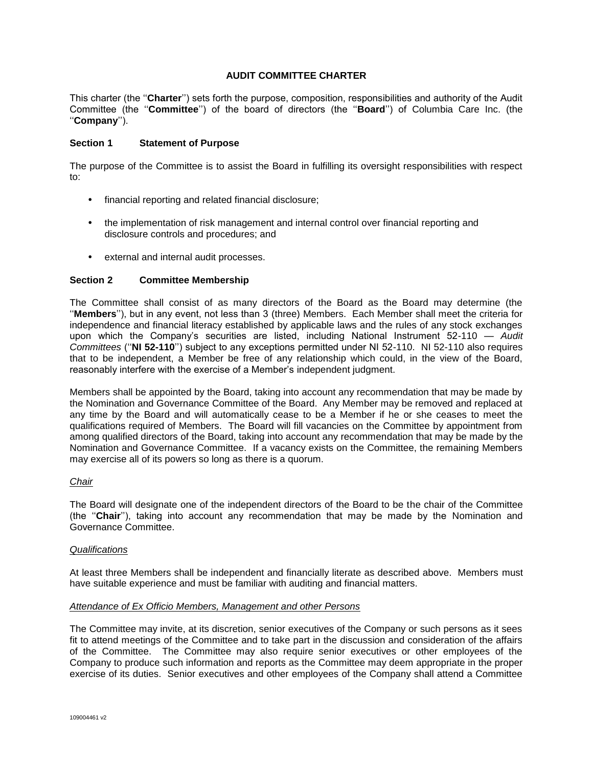## **AUDIT COMMITTEE CHARTER**

This charter (the ''**Charter**'') sets forth the purpose, composition, responsibilities and authority of the Audit Committee (the ''**Committee**'') of the board of directors (the ''**Board**'') of Columbia Care Inc. (the ''**Company**'').

## **Section 1 Statement of Purpose**

The purpose of the Committee is to assist the Board in fulfilling its oversight responsibilities with respect to:

- financial reporting and related financial disclosure;
- the implementation of risk management and internal control over financial reporting and disclosure controls and procedures; and
- external and internal audit processes.

## **Section 2 Committee Membership**

The Committee shall consist of as many directors of the Board as the Board may determine (the ''**Members**''), but in any event, not less than 3 (three) Members. Each Member shall meet the criteria for independence and financial literacy established by applicable laws and the rules of any stock exchanges upon which the Company's securities are listed, including National Instrument 52-110 — *Audit Committees* (''**NI 52-110**'') subject to any exceptions permitted under NI 52-110. NI 52-110 also requires that to be independent, a Member be free of any relationship which could, in the view of the Board, reasonably interfere with the exercise of a Member's independent judgment.

Members shall be appointed by the Board, taking into account any recommendation that may be made by the Nomination and Governance Committee of the Board. Any Member may be removed and replaced at any time by the Board and will automatically cease to be a Member if he or she ceases to meet the qualifications required of Members. The Board will fill vacancies on the Committee by appointment from among qualified directors of the Board, taking into account any recommendation that may be made by the Nomination and Governance Committee. If a vacancy exists on the Committee, the remaining Members may exercise all of its powers so long as there is a quorum.

### *Chair*

The Board will designate one of the independent directors of the Board to be the chair of the Committee (the ''**Chair**''), taking into account any recommendation that may be made by the Nomination and Governance Committee.

### *Qualifications*

At least three Members shall be independent and financially literate as described above. Members must have suitable experience and must be familiar with auditing and financial matters.

### *Attendance of Ex Officio Members, Management and other Persons*

The Committee may invite, at its discretion, senior executives of the Company or such persons as it sees fit to attend meetings of the Committee and to take part in the discussion and consideration of the affairs of the Committee. The Committee may also require senior executives or other employees of the Company to produce such information and reports as the Committee may deem appropriate in the proper exercise of its duties. Senior executives and other employees of the Company shall attend a Committee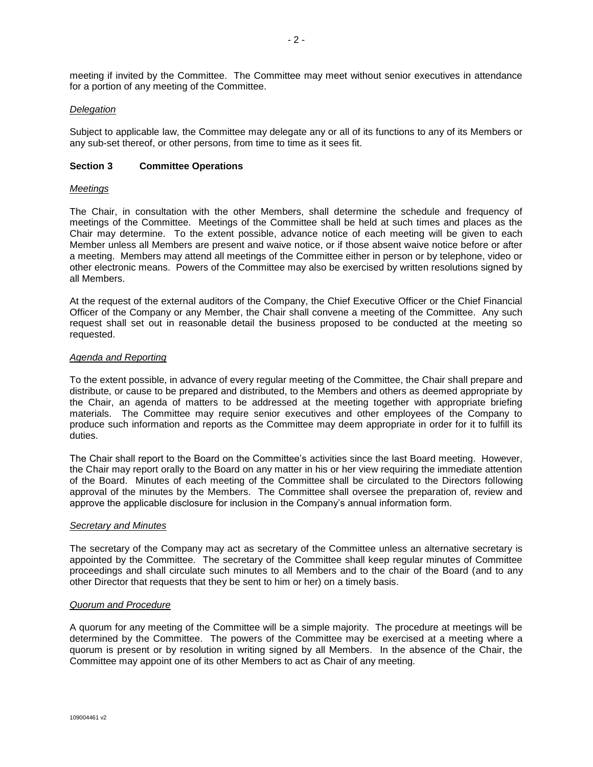meeting if invited by the Committee. The Committee may meet without senior executives in attendance for a portion of any meeting of the Committee.

## *Delegation*

Subject to applicable law, the Committee may delegate any or all of its functions to any of its Members or any sub-set thereof, or other persons, from time to time as it sees fit.

### **Section 3 Committee Operations**

### *Meetings*

The Chair, in consultation with the other Members, shall determine the schedule and frequency of meetings of the Committee. Meetings of the Committee shall be held at such times and places as the Chair may determine. To the extent possible, advance notice of each meeting will be given to each Member unless all Members are present and waive notice, or if those absent waive notice before or after a meeting. Members may attend all meetings of the Committee either in person or by telephone, video or other electronic means. Powers of the Committee may also be exercised by written resolutions signed by all Members.

At the request of the external auditors of the Company, the Chief Executive Officer or the Chief Financial Officer of the Company or any Member, the Chair shall convene a meeting of the Committee. Any such request shall set out in reasonable detail the business proposed to be conducted at the meeting so requested.

### *Agenda and Reporting*

To the extent possible, in advance of every regular meeting of the Committee, the Chair shall prepare and distribute, or cause to be prepared and distributed, to the Members and others as deemed appropriate by the Chair, an agenda of matters to be addressed at the meeting together with appropriate briefing materials. The Committee may require senior executives and other employees of the Company to produce such information and reports as the Committee may deem appropriate in order for it to fulfill its duties.

The Chair shall report to the Board on the Committee's activities since the last Board meeting. However, the Chair may report orally to the Board on any matter in his or her view requiring the immediate attention of the Board. Minutes of each meeting of the Committee shall be circulated to the Directors following approval of the minutes by the Members. The Committee shall oversee the preparation of, review and approve the applicable disclosure for inclusion in the Company's annual information form.

### *Secretary and Minutes*

The secretary of the Company may act as secretary of the Committee unless an alternative secretary is appointed by the Committee. The secretary of the Committee shall keep regular minutes of Committee proceedings and shall circulate such minutes to all Members and to the chair of the Board (and to any other Director that requests that they be sent to him or her) on a timely basis.

## *Quorum and Procedure*

A quorum for any meeting of the Committee will be a simple majority. The procedure at meetings will be determined by the Committee. The powers of the Committee may be exercised at a meeting where a quorum is present or by resolution in writing signed by all Members. In the absence of the Chair, the Committee may appoint one of its other Members to act as Chair of any meeting.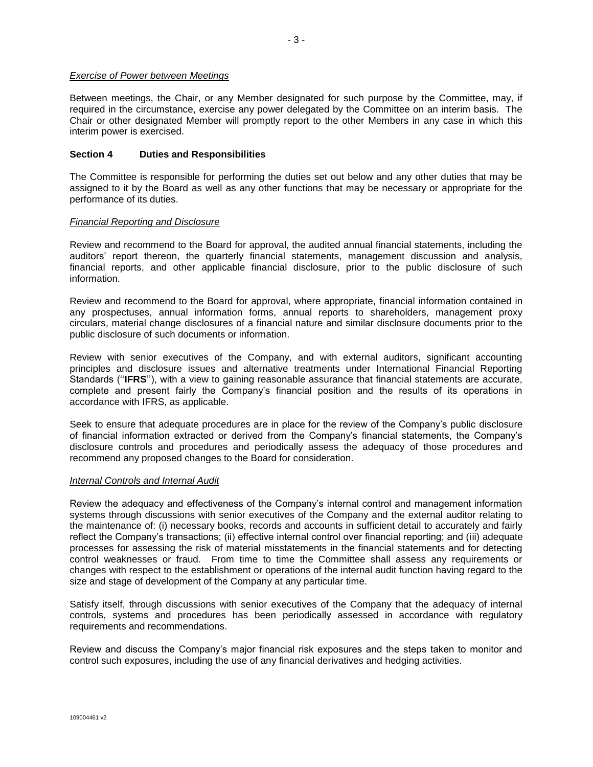## *Exercise of Power between Meetings*

Between meetings, the Chair, or any Member designated for such purpose by the Committee, may, if required in the circumstance, exercise any power delegated by the Committee on an interim basis. The Chair or other designated Member will promptly report to the other Members in any case in which this interim power is exercised.

## **Section 4 Duties and Responsibilities**

The Committee is responsible for performing the duties set out below and any other duties that may be assigned to it by the Board as well as any other functions that may be necessary or appropriate for the performance of its duties.

## *Financial Reporting and Disclosure*

Review and recommend to the Board for approval, the audited annual financial statements, including the auditors' report thereon, the quarterly financial statements, management discussion and analysis, financial reports, and other applicable financial disclosure, prior to the public disclosure of such information.

Review and recommend to the Board for approval, where appropriate, financial information contained in any prospectuses, annual information forms, annual reports to shareholders, management proxy circulars, material change disclosures of a financial nature and similar disclosure documents prior to the public disclosure of such documents or information.

Review with senior executives of the Company, and with external auditors, significant accounting principles and disclosure issues and alternative treatments under International Financial Reporting Standards (''**IFRS**''), with a view to gaining reasonable assurance that financial statements are accurate, complete and present fairly the Company's financial position and the results of its operations in accordance with IFRS, as applicable.

Seek to ensure that adequate procedures are in place for the review of the Company's public disclosure of financial information extracted or derived from the Company's financial statements, the Company's disclosure controls and procedures and periodically assess the adequacy of those procedures and recommend any proposed changes to the Board for consideration.

### *Internal Controls and Internal Audit*

Review the adequacy and effectiveness of the Company's internal control and management information systems through discussions with senior executives of the Company and the external auditor relating to the maintenance of: (i) necessary books, records and accounts in sufficient detail to accurately and fairly reflect the Company's transactions; (ii) effective internal control over financial reporting; and (iii) adequate processes for assessing the risk of material misstatements in the financial statements and for detecting control weaknesses or fraud. From time to time the Committee shall assess any requirements or changes with respect to the establishment or operations of the internal audit function having regard to the size and stage of development of the Company at any particular time.

Satisfy itself, through discussions with senior executives of the Company that the adequacy of internal controls, systems and procedures has been periodically assessed in accordance with regulatory requirements and recommendations.

Review and discuss the Company's major financial risk exposures and the steps taken to monitor and control such exposures, including the use of any financial derivatives and hedging activities.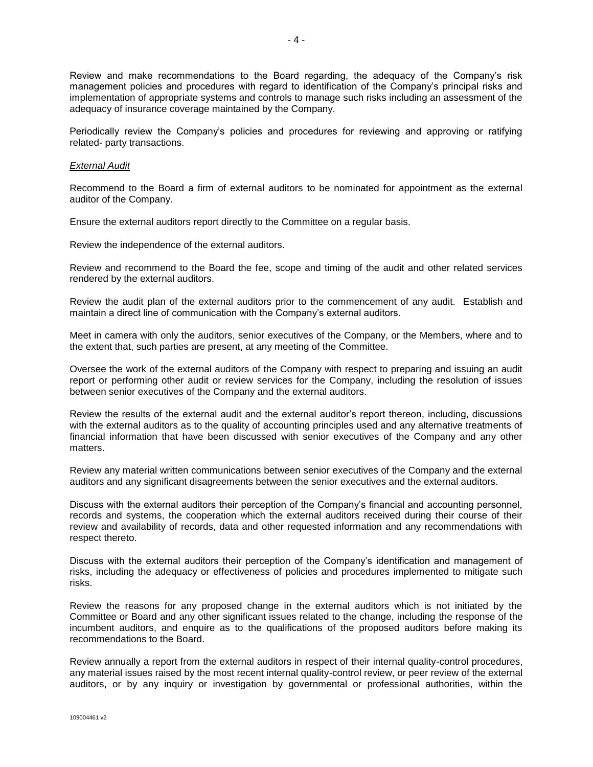Review and make recommendations to the Board regarding, the adequacy of the Company's risk management policies and procedures with regard to identification of the Company's principal risks and implementation of appropriate systems and controls to manage such risks including an assessment of the adequacy of insurance coverage maintained by the Company.

Periodically review the Company's policies and procedures for reviewing and approving or ratifying related- party transactions.

### *External Audit*

Recommend to the Board a firm of external auditors to be nominated for appointment as the external auditor of the Company.

Ensure the external auditors report directly to the Committee on a regular basis.

Review the independence of the external auditors.

Review and recommend to the Board the fee, scope and timing of the audit and other related services rendered by the external auditors.

Review the audit plan of the external auditors prior to the commencement of any audit. Establish and maintain a direct line of communication with the Company's external auditors.

Meet in camera with only the auditors, senior executives of the Company, or the Members, where and to the extent that, such parties are present, at any meeting of the Committee.

Oversee the work of the external auditors of the Company with respect to preparing and issuing an audit report or performing other audit or review services for the Company, including the resolution of issues between senior executives of the Company and the external auditors.

Review the results of the external audit and the external auditor's report thereon, including, discussions with the external auditors as to the quality of accounting principles used and any alternative treatments of financial information that have been discussed with senior executives of the Company and any other matters.

Review any material written communications between senior executives of the Company and the external auditors and any significant disagreements between the senior executives and the external auditors.

Discuss with the external auditors their perception of the Company's financial and accounting personnel, records and systems, the cooperation which the external auditors received during their course of their review and availability of records, data and other requested information and any recommendations with respect thereto.

Discuss with the external auditors their perception of the Company's identification and management of risks, including the adequacy or effectiveness of policies and procedures implemented to mitigate such risks.

Review the reasons for any proposed change in the external auditors which is not initiated by the Committee or Board and any other significant issues related to the change, including the response of the incumbent auditors, and enquire as to the qualifications of the proposed auditors before making its recommendations to the Board.

Review annually a report from the external auditors in respect of their internal quality-control procedures, any material issues raised by the most recent internal quality-control review, or peer review of the external auditors, or by any inquiry or investigation by governmental or professional authorities, within the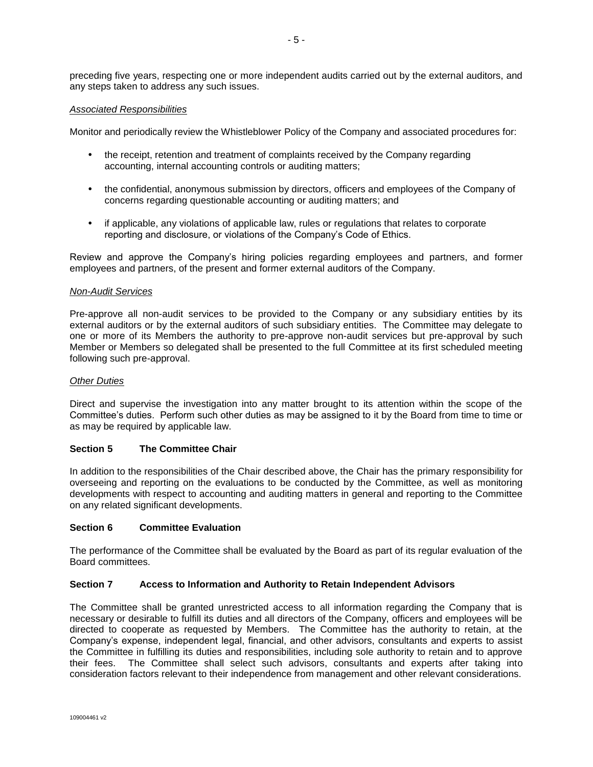preceding five years, respecting one or more independent audits carried out by the external auditors, and any steps taken to address any such issues.

## *Associated Responsibilities*

Monitor and periodically review the Whistleblower Policy of the Company and associated procedures for:

- the receipt, retention and treatment of complaints received by the Company regarding accounting, internal accounting controls or auditing matters;
- the confidential, anonymous submission by directors, officers and employees of the Company of concerns regarding questionable accounting or auditing matters; and
- if applicable, any violations of applicable law, rules or regulations that relates to corporate reporting and disclosure, or violations of the Company's Code of Ethics.

Review and approve the Company's hiring policies regarding employees and partners, and former employees and partners, of the present and former external auditors of the Company.

### *Non-Audit Services*

Pre-approve all non-audit services to be provided to the Company or any subsidiary entities by its external auditors or by the external auditors of such subsidiary entities. The Committee may delegate to one or more of its Members the authority to pre-approve non-audit services but pre-approval by such Member or Members so delegated shall be presented to the full Committee at its first scheduled meeting following such pre-approval.

### *Other Duties*

Direct and supervise the investigation into any matter brought to its attention within the scope of the Committee's duties. Perform such other duties as may be assigned to it by the Board from time to time or as may be required by applicable law.

### **Section 5 The Committee Chair**

In addition to the responsibilities of the Chair described above, the Chair has the primary responsibility for overseeing and reporting on the evaluations to be conducted by the Committee, as well as monitoring developments with respect to accounting and auditing matters in general and reporting to the Committee on any related significant developments.

## **Section 6 Committee Evaluation**

The performance of the Committee shall be evaluated by the Board as part of its regular evaluation of the Board committees.

### **Section 7 Access to Information and Authority to Retain Independent Advisors**

The Committee shall be granted unrestricted access to all information regarding the Company that is necessary or desirable to fulfill its duties and all directors of the Company, officers and employees will be directed to cooperate as requested by Members. The Committee has the authority to retain, at the Company's expense, independent legal, financial, and other advisors, consultants and experts to assist the Committee in fulfilling its duties and responsibilities, including sole authority to retain and to approve their fees. The Committee shall select such advisors, consultants and experts after taking into consideration factors relevant to their independence from management and other relevant considerations.